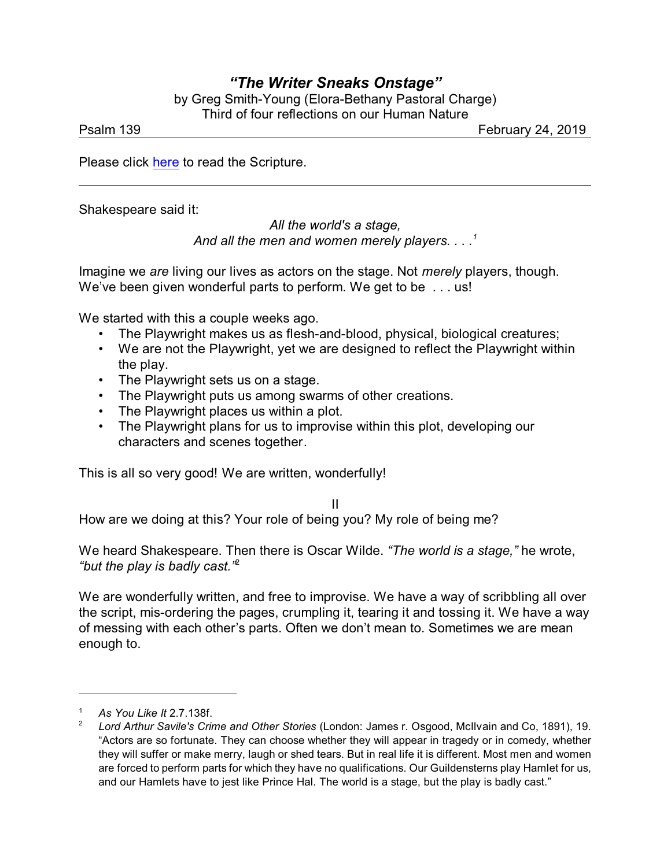## *"The Writer Sneaks Onstage"*

by Greg Smith-Young (Elora-Bethany Pastoral Charge) Third of four reflections on our Human Nature

Psalm 139 February 24, 2019

Please click [here](https://www.biblegateway.com/passage/?search=Psalm+139&version=NRSV) to read the Scripture.

Shakespeare said it:

*All the world's a stage, And all the men and women merely players. . . .<sup>1</sup>*

Imagine we *are* living our lives as actors on the stage. Not *merely* players, though. We've been given wonderful parts to perform. We get to be . . . us!

We started with this a couple weeks ago.

- The Playwright makes us as flesh-and-blood, physical, biological creatures;
- We are not the Playwright, yet we are designed to reflect the Playwright within the play.
- The Playwright sets us on a stage.
- The Playwright puts us among swarms of other creations.
- The Playwright places us within a plot.
- The Playwright plans for us to improvise within this plot, developing our characters and scenes together.

This is all so very good! We are written, wonderfully!

II

How are we doing at this? Your role of being you? My role of being me?

We heard Shakespeare. Then there is Oscar Wilde. *"The world is a stage,"* he wrote, *"but the play is badly cast."*<sup>2</sup>

We are wonderfully written, and free to improvise. We have a way of scribbling all over the script, mis-ordering the pages, crumpling it, tearing it and tossing it. We have a way of messing with each other's parts. Often we don't mean to. Sometimes we are mean enough to.

<sup>1</sup> *As You Like It* 2.7.138f.

<sup>2</sup> *Lord Arthur Savile's Crime and Other Stories* (London: James r. Osgood, McIlvain and Co, 1891), 19. "Actors are so fortunate. They can choose whether they will appear in tragedy or in comedy, whether they will suffer or make merry, laugh or shed tears. But in real life it is different. Most men and women are forced to perform parts for which they have no qualifications. Our Guildensterns play Hamlet for us, and our Hamlets have to jest like Prince Hal. The world is a stage, but the play is badly cast."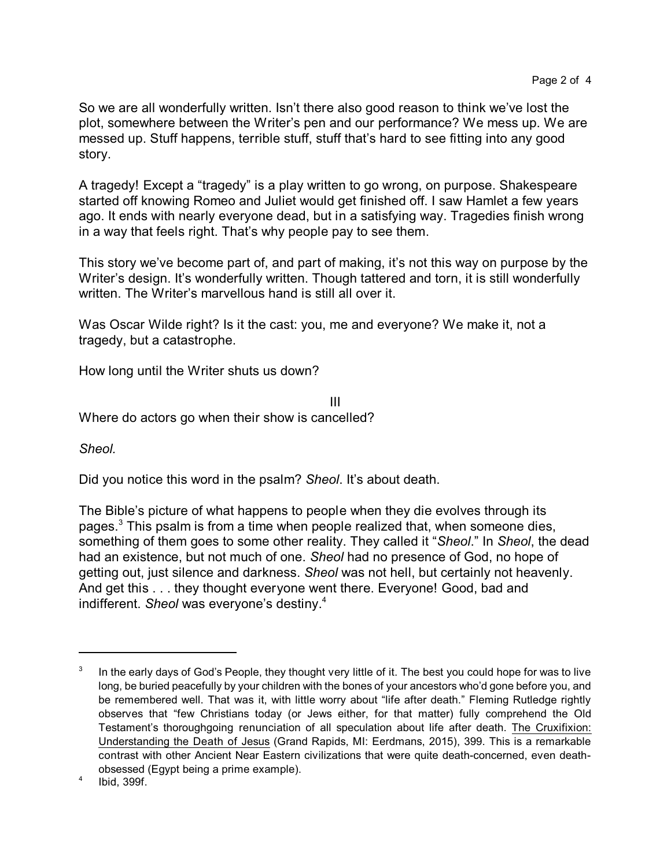So we are all wonderfully written. Isn't there also good reason to think we've lost the plot, somewhere between the Writer's pen and our performance? We mess up. We are messed up. Stuff happens, terrible stuff, stuff that's hard to see fitting into any good story.

A tragedy! Except a "tragedy" is a play written to go wrong, on purpose. Shakespeare started off knowing Romeo and Juliet would get finished off. I saw Hamlet a few years ago. It ends with nearly everyone dead, but in a satisfying way. Tragedies finish wrong in a way that feels right. That's why people pay to see them.

This story we've become part of, and part of making, it's not this way on purpose by the Writer's design. It's wonderfully written. Though tattered and torn, it is still wonderfully written. The Writer's marvellous hand is still all over it.

Was Oscar Wilde right? Is it the cast: you, me and everyone? We make it, not a tragedy, but a catastrophe.

How long until the Writer shuts us down?

III Where do actors go when their show is cancelled?

*Sheol.*

Did you notice this word in the psalm? *Sheol*. It's about death.

The Bible's picture of what happens to people when they die evolves through its pages.<sup>3</sup> This psalm is from a time when people realized that, when someone dies, something of them goes to some other reality. They called it "*Sheol*." In *Sheol*, the dead had an existence, but not much of one. *Sheol* had no presence of God, no hope of getting out, just silence and darkness. *Sheol* was not hell, but certainly not heavenly. And get this . . . they thought everyone went there. Everyone! Good, bad and indifferent. *Sheol* was everyone's destiny.<sup>4</sup>

<sup>3</sup> In the early days of God's People, they thought very little of it. The best you could hope for was to live long, be buried peacefully by your children with the bones of your ancestors who'd gone before you, and be remembered well. That was it, with little worry about "life after death." Fleming Rutledge rightly observes that "few Christians today (or Jews either, for that matter) fully comprehend the Old Testament's thoroughgoing renunciation of all speculation about life after death. The Cruxifixion: Understanding the Death of Jesus (Grand Rapids, MI: Eerdmans, 2015), 399. This is a remarkable contrast with other Ancient Near Eastern civilizations that were quite death-concerned, even deathobsessed (Egypt being a prime example).

<sup>4</sup> Ibid, 399f.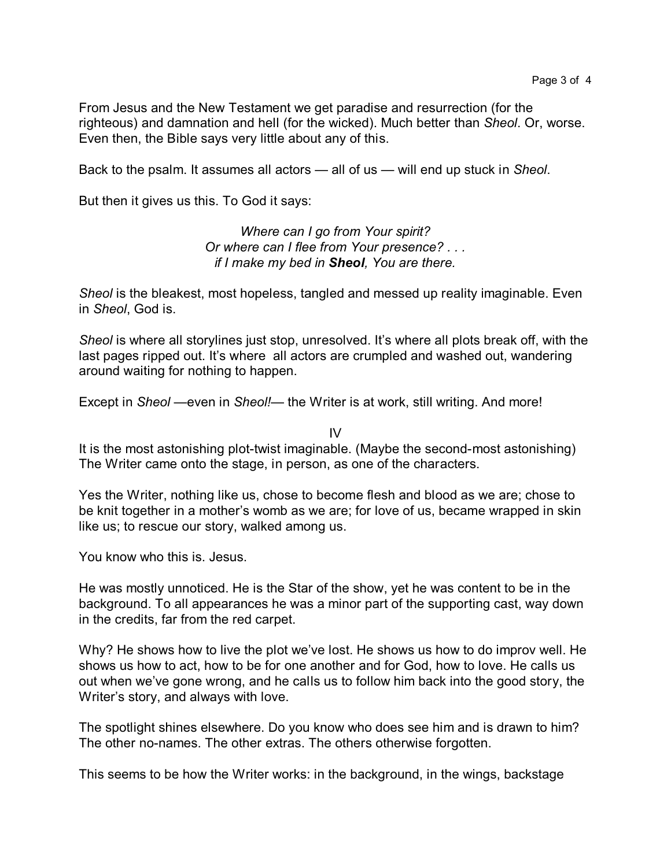From Jesus and the New Testament we get paradise and resurrection (for the righteous) and damnation and hell (for the wicked). Much better than *Sheol*. Or, worse. Even then, the Bible says very little about any of this.

Back to the psalm. It assumes all actors — all of us — will end up stuck in *Sheol*.

But then it gives us this. To God it says:

*Where can I go from Your spirit? Or where can I flee from Your presence? . . . if I make my bed in Sheol, You are there.*

*Sheol* is the bleakest, most hopeless, tangled and messed up reality imaginable. Even in *Sheol*, God is.

*Sheol* is where all storylines just stop, unresolved. It's where all plots break off, with the last pages ripped out. It's where all actors are crumpled and washed out, wandering around waiting for nothing to happen.

Except in *Sheol* —even in *Sheol!*— the Writer is at work, still writing. And more!

IV

It is the most astonishing plot-twist imaginable. (Maybe the second-most astonishing) The Writer came onto the stage, in person, as one of the characters.

Yes the Writer, nothing like us, chose to become flesh and blood as we are; chose to be knit together in a mother's womb as we are; for love of us, became wrapped in skin like us; to rescue our story, walked among us.

You know who this is. Jesus.

He was mostly unnoticed. He is the Star of the show, yet he was content to be in the background. To all appearances he was a minor part of the supporting cast, way down in the credits, far from the red carpet.

Why? He shows how to live the plot we've lost. He shows us how to do improv well. He shows us how to act, how to be for one another and for God, how to love. He calls us out when we've gone wrong, and he calls us to follow him back into the good story, the Writer's story, and always with love.

The spotlight shines elsewhere. Do you know who does see him and is drawn to him? The other no-names. The other extras. The others otherwise forgotten.

This seems to be how the Writer works: in the background, in the wings, backstage